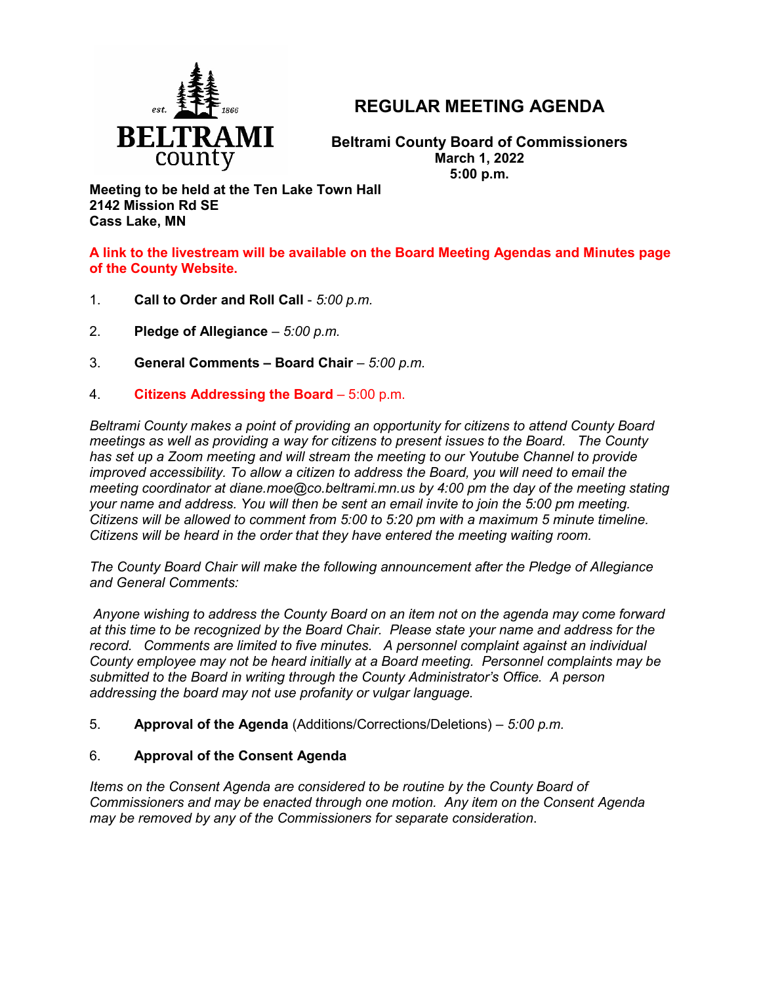

# **REGULAR MEETING AGENDA**

**Beltrami County Board of Commissioners March 1, 2022 5:00 p.m.**

**Meeting to be held at the Ten Lake Town Hall 2142 Mission Rd SE Cass Lake, MN**

**A link to the livestream will be available on the Board Meeting Agendas and Minutes page of the County Website.**

- 1. **Call to Order and Roll Call** *5:00 p.m.*
- 2. **Pledge of Allegiance**  *5:00 p.m.*
- 3. **General Comments – Board Chair** *5:00 p.m.*
- 4. **Citizens Addressing the Board**  5:00 p.m.

*Beltrami County makes a point of providing an opportunity for citizens to attend County Board meetings as well as providing a way for citizens to present issues to the Board. The County has set up a Zoom meeting and will stream the meeting to our Youtube Channel to provide improved accessibility. To allow a citizen to address the Board, you will need to email the meeting coordinator at diane.moe@co.beltrami.mn.us by 4:00 pm the day of the meeting stating your name and address. You will then be sent an email invite to join the 5:00 pm meeting. Citizens will be allowed to comment from 5:00 to 5:20 pm with a maximum 5 minute timeline. Citizens will be heard in the order that they have entered the meeting waiting room.* 

*The County Board Chair will make the following announcement after the Pledge of Allegiance and General Comments:*

*Anyone wishing to address the County Board on an item not on the agenda may come forward at this time to be recognized by the Board Chair. Please state your name and address for the record. Comments are limited to five minutes. A personnel complaint against an individual County employee may not be heard initially at a Board meeting. Personnel complaints may be submitted to the Board in writing through the County Administrator's Office. A person addressing the board may not use profanity or vulgar language.*

5. **Approval of the Agenda** (Additions/Corrections/Deletions) – *5:00 p.m.*

## 6. **Approval of the Consent Agenda**

*Items on the Consent Agenda are considered to be routine by the County Board of Commissioners and may be enacted through one motion. Any item on the Consent Agenda may be removed by any of the Commissioners for separate consideration*.